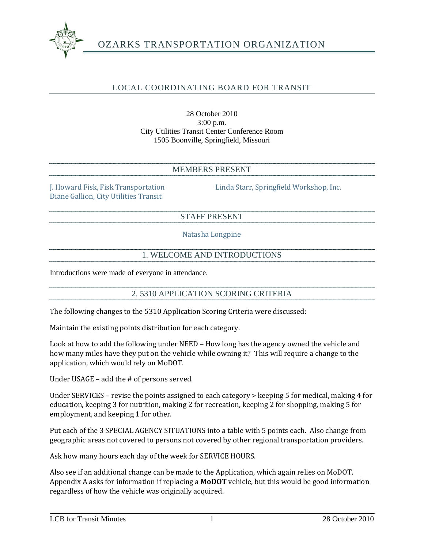

# OZARKS TRANSPORTATION ORGANIZATION

## LOCAL COORDINATING BOARD FOR TRANSIT

28 October 2010 3:00 p.m. City Utilities Transit Center Conference Room 1505 Boonville, Springfield, Missouri

#### MEMBERS PRESENT

Diane Gallion, City Utilities Transit

J. Howard Fisk, Fisk Transportation Linda Starr, Springfield Workshop, Inc.

#### STAFF PRESENT

Natasha Longpine

#### 1. WELCOME AND INTRODUCTIONS

Introductions were made of everyone in attendance.

#### 2. 5310 APPLICATION SCORING CRITERIA

The following changes to the 5310 Application Scoring Criteria were discussed:

Maintain the existing points distribution for each category.

Look at how to add the following under NEED – How long has the agency owned the vehicle and how many miles have they put on the vehicle while owning it? This will require a change to the application, which would rely on MoDOT.

Under USAGE – add the # of persons served.

Under SERVICES – revise the points assigned to each category > keeping 5 for medical, making 4 for education, keeping 3 for nutrition, making 2 for recreation, keeping 2 for shopping, making 5 for employment, and keeping 1 for other.

Put each of the 3 SPECIAL AGENCY SITUATIONS into a table with 5 points each. Also change from geographic areas not covered to persons not covered by other regional transportation providers.

Ask how many hours each day of the week for SERVICE HOURS.

Also see if an additional change can be made to the Application, which again relies on MoDOT. Appendix A asks for information if replacing a **MoDOT** vehicle, but this would be good information regardless of how the vehicle was originally acquired.